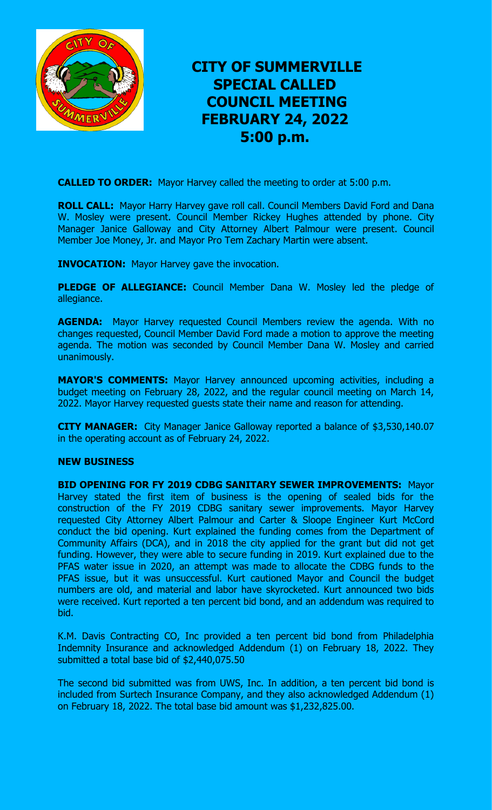

## **CITY OF SUMMERVILLE SPECIAL CALLED COUNCIL MEETING FEBRUARY 24, 2022 5:00 p.m.**

**CALLED TO ORDER:** Mayor Harvey called the meeting to order at 5:00 p.m.

**ROLL CALL:** Mayor Harry Harvey gave roll call. Council Members David Ford and Dana W. Mosley were present. Council Member Rickey Hughes attended by phone. City Manager Janice Galloway and City Attorney Albert Palmour were present. Council Member Joe Money, Jr. and Mayor Pro Tem Zachary Martin were absent.

**INVOCATION:** Mayor Harvey gave the invocation.

**PLEDGE OF ALLEGIANCE:** Council Member Dana W. Mosley led the pledge of allegiance.

**AGENDA:** Mayor Harvey requested Council Members review the agenda. With no changes requested, Council Member David Ford made a motion to approve the meeting agenda. The motion was seconded by Council Member Dana W. Mosley and carried unanimously.

**MAYOR'S COMMENTS:** Mayor Harvey announced upcoming activities, including a budget meeting on February 28, 2022, and the regular council meeting on March 14, 2022. Mayor Harvey requested guests state their name and reason for attending.

**CITY MANAGER:** City Manager Janice Galloway reported a balance of \$3,530,140.07 in the operating account as of February 24, 2022.

## **NEW BUSINESS**

**BID OPENING FOR FY 2019 CDBG SANITARY SEWER IMPROVEMENTS:** Mayor Harvey stated the first item of business is the opening of sealed bids for the construction of the FY 2019 CDBG sanitary sewer improvements. Mayor Harvey requested City Attorney Albert Palmour and Carter & Sloope Engineer Kurt McCord conduct the bid opening. Kurt explained the funding comes from the Department of Community Affairs (DCA), and in 2018 the city applied for the grant but did not get funding. However, they were able to secure funding in 2019. Kurt explained due to the PFAS water issue in 2020, an attempt was made to allocate the CDBG funds to the PFAS issue, but it was unsuccessful. Kurt cautioned Mayor and Council the budget numbers are old, and material and labor have skyrocketed. Kurt announced two bids were received. Kurt reported a ten percent bid bond, and an addendum was required to bid.

K.M. Davis Contracting CO, Inc provided a ten percent bid bond from Philadelphia Indemnity Insurance and acknowledged Addendum (1) on February 18, 2022. They submitted a total base bid of \$2,440,075.50

The second bid submitted was from UWS, Inc. In addition, a ten percent bid bond is included from Surtech Insurance Company, and they also acknowledged Addendum (1) on February 18, 2022. The total base bid amount was \$1,232,825.00.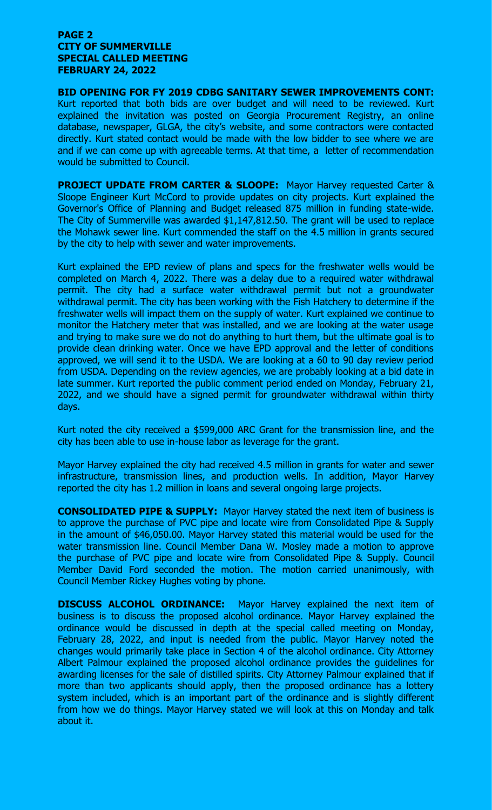## **PAGE 2 CITY OF SUMMERVILLE SPECIAL CALLED MEETING FEBRUARY 24, 2022**

**BID OPENING FOR FY 2019 CDBG SANITARY SEWER IMPROVEMENTS CONT:** Kurt reported that both bids are over budget and will need to be reviewed. Kurt explained the invitation was posted on Georgia Procurement Registry, an online database, newspaper, GLGA, the city's website, and some contractors were contacted directly. Kurt stated contact would be made with the low bidder to see where we are and if we can come up with agreeable terms. At that time, a letter of recommendation would be submitted to Council.

**PROJECT UPDATE FROM CARTER & SLOOPE:** Mayor Harvey requested Carter & Sloope Engineer Kurt McCord to provide updates on city projects. Kurt explained the Governor's Office of Planning and Budget released 875 million in funding state-wide. The City of Summerville was awarded \$1,147,812.50. The grant will be used to replace the Mohawk sewer line. Kurt commended the staff on the 4.5 million in grants secured by the city to help with sewer and water improvements.

Kurt explained the EPD review of plans and specs for the freshwater wells would be completed on March 4, 2022. There was a delay due to a required water withdrawal permit. The city had a surface water withdrawal permit but not a groundwater withdrawal permit. The city has been working with the Fish Hatchery to determine if the freshwater wells will impact them on the supply of water. Kurt explained we continue to monitor the Hatchery meter that was installed, and we are looking at the water usage and trying to make sure we do not do anything to hurt them, but the ultimate goal is to provide clean drinking water. Once we have EPD approval and the letter of conditions approved, we will send it to the USDA. We are looking at a 60 to 90 day review period from USDA. Depending on the review agencies, we are probably looking at a bid date in late summer. Kurt reported the public comment period ended on Monday, February 21, 2022, and we should have a signed permit for groundwater withdrawal within thirty days.

Kurt noted the city received a \$599,000 ARC Grant for the transmission line, and the city has been able to use in-house labor as leverage for the grant.

Mayor Harvey explained the city had received 4.5 million in grants for water and sewer infrastructure, transmission lines, and production wells. In addition, Mayor Harvey reported the city has 1.2 million in loans and several ongoing large projects.

**CONSOLIDATED PIPE & SUPPLY:** Mayor Harvey stated the next item of business is to approve the purchase of PVC pipe and locate wire from Consolidated Pipe & Supply in the amount of \$46,050.00. Mayor Harvey stated this material would be used for the water transmission line. Council Member Dana W. Mosley made a motion to approve the purchase of PVC pipe and locate wire from Consolidated Pipe & Supply. Council Member David Ford seconded the motion. The motion carried unanimously, with Council Member Rickey Hughes voting by phone.

**DISCUSS ALCOHOL ORDINANCE:** Mayor Harvey explained the next item of business is to discuss the proposed alcohol ordinance. Mayor Harvey explained the ordinance would be discussed in depth at the special called meeting on Monday, February 28, 2022, and input is needed from the public. Mayor Harvey noted the changes would primarily take place in Section 4 of the alcohol ordinance. City Attorney Albert Palmour explained the proposed alcohol ordinance provides the guidelines for awarding licenses for the sale of distilled spirits. City Attorney Palmour explained that if more than two applicants should apply, then the proposed ordinance has a lottery system included, which is an important part of the ordinance and is slightly different from how we do things. Mayor Harvey stated we will look at this on Monday and talk about it.